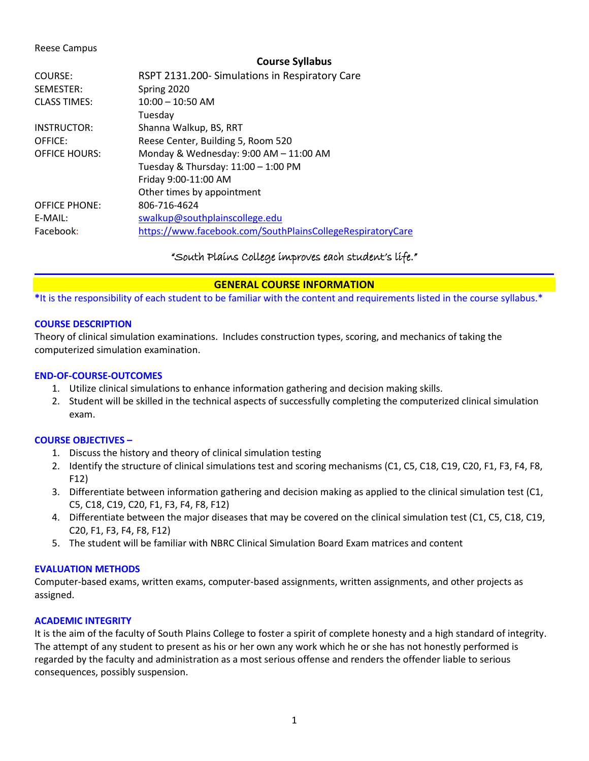#### Reese Campus

#### **Course Syllabus**

| COURSE:              | RSPT 2131.200- Simulations in Respiratory Care             |
|----------------------|------------------------------------------------------------|
| SEMESTER:            | Spring 2020                                                |
| <b>CLASS TIMES:</b>  | $10:00 - 10:50$ AM                                         |
|                      | Tuesday                                                    |
| INSTRUCTOR:          | Shanna Walkup, BS, RRT                                     |
| OFFICE:              | Reese Center, Building 5, Room 520                         |
| <b>OFFICE HOURS:</b> | Monday & Wednesday: 9:00 AM - 11:00 AM                     |
|                      | Tuesday & Thursday: $11:00 - 1:00$ PM                      |
|                      | Friday 9:00-11:00 AM                                       |
|                      | Other times by appointment                                 |
| <b>OFFICE PHONE:</b> | 806-716-4624                                               |
| E-MAIL:              | swalkup@southplainscollege.edu                             |
| Facebook:            | https://www.facebook.com/SouthPlainsCollegeRespiratoryCare |
|                      |                                                            |

# "South Plains College improves each student's life."

# **GENERAL COURSE INFORMATION**

**\***It is the responsibility of each student to be familiar with the content and requirements listed in the course syllabus.\*

## **COURSE DESCRIPTION**

Theory of clinical simulation examinations. Includes construction types, scoring, and mechanics of taking the computerized simulation examination.

### **END-OF-COURSE-OUTCOMES**

- 1. Utilize clinical simulations to enhance information gathering and decision making skills.
- 2. Student will be skilled in the technical aspects of successfully completing the computerized clinical simulation exam.

#### **COURSE OBJECTIVES –**

- 1. Discuss the history and theory of clinical simulation testing
- 2. Identify the structure of clinical simulations test and scoring mechanisms (C1, C5, C18, C19, C20, F1, F3, F4, F8, F12)
- 3. Differentiate between information gathering and decision making as applied to the clinical simulation test (C1, C5, C18, C19, C20, F1, F3, F4, F8, F12)
- 4. Differentiate between the major diseases that may be covered on the clinical simulation test (C1, C5, C18, C19, C20, F1, F3, F4, F8, F12)
- 5. The student will be familiar with NBRC Clinical Simulation Board Exam matrices and content

#### **EVALUATION METHODS**

Computer-based exams, written exams, computer-based assignments, written assignments, and other projects as assigned.

# **ACADEMIC INTEGRITY**

It is the aim of the faculty of South Plains College to foster a spirit of complete honesty and a high standard of integrity. The attempt of any student to present as his or her own any work which he or she has not honestly performed is regarded by the faculty and administration as a most serious offense and renders the offender liable to serious consequences, possibly suspension.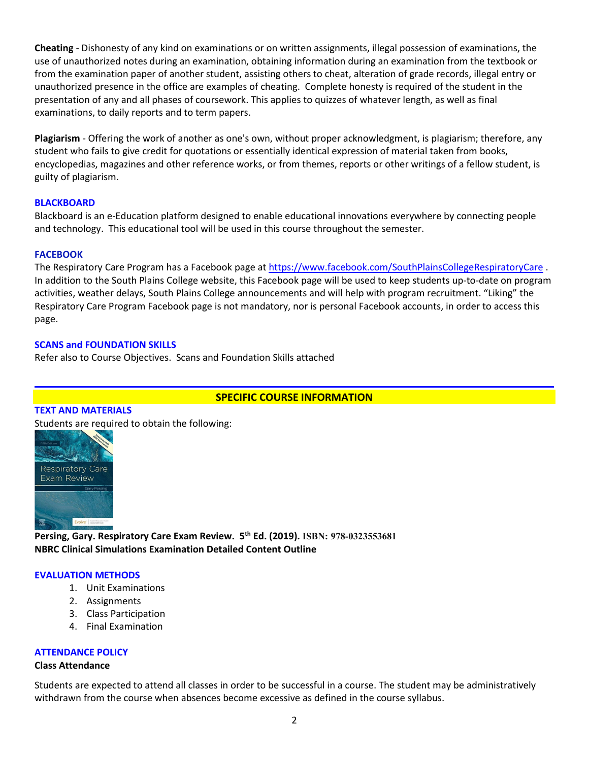**Cheating** - Dishonesty of any kind on examinations or on written assignments, illegal possession of examinations, the use of unauthorized notes during an examination, obtaining information during an examination from the textbook or from the examination paper of another student, assisting others to cheat, alteration of grade records, illegal entry or unauthorized presence in the office are examples of cheating. Complete honesty is required of the student in the presentation of any and all phases of coursework. This applies to quizzes of whatever length, as well as final examinations, to daily reports and to term papers.

**Plagiarism** - Offering the work of another as one's own, without proper acknowledgment, is plagiarism; therefore, any student who fails to give credit for quotations or essentially identical expression of material taken from books, encyclopedias, magazines and other reference works, or from themes, reports or other writings of a fellow student, is guilty of plagiarism.

## **BLACKBOARD**

Blackboard is an e-Education platform designed to enable educational innovations everywhere by connecting people and technology. This educational tool will be used in this course throughout the semester.

## **FACEBOOK**

The Respiratory Care Program has a Facebook page at <https://www.facebook.com/SouthPlainsCollegeRespiratoryCare>. In addition to the South Plains College website, this Facebook page will be used to keep students up-to-date on program activities, weather delays, South Plains College announcements and will help with program recruitment. "Liking" the Respiratory Care Program Facebook page is not mandatory, nor is personal Facebook accounts, in order to access this page.

## **SCANS and FOUNDATION SKILLS**

Refer also to Course Objectives. Scans and Foundation Skills attached

# **SPECIFIC COURSE INFORMATION**

#### **TEXT AND MATERIALS**

Students are required to obtain the following:



**Persing, Gary. Respiratory Care Exam Review. 5th Ed. (2019). ISBN: 978-0323553681 NBRC Clinical Simulations Examination Detailed Content Outline**

#### **EVALUATION METHODS**

- 1. Unit Examinations
- 2. Assignments
- 3. Class Participation
- 4. Final Examination

# **ATTENDANCE POLICY**

#### **Class Attendance**

Students are expected to attend all classes in order to be successful in a course. The student may be administratively withdrawn from the course when absences become excessive as defined in the course syllabus.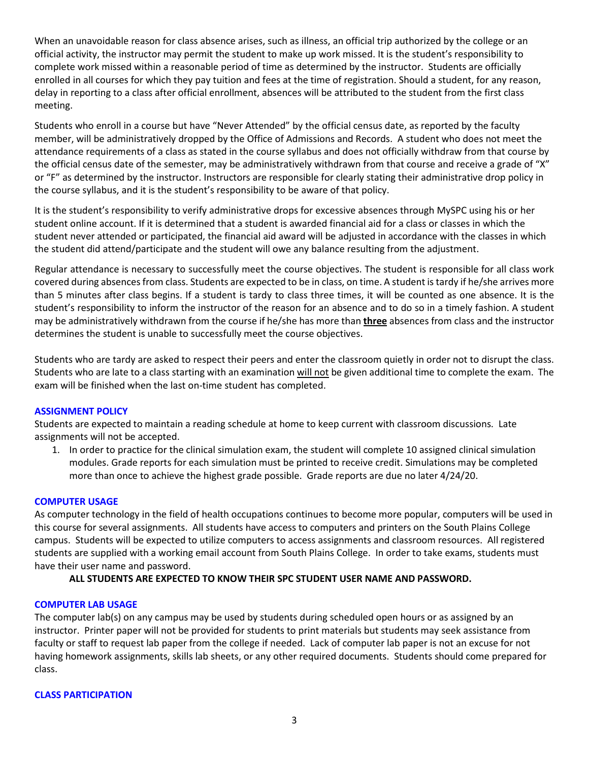When an unavoidable reason for class absence arises, such as illness, an official trip authorized by the college or an official activity, the instructor may permit the student to make up work missed. It is the student's responsibility to complete work missed within a reasonable period of time as determined by the instructor. Students are officially enrolled in all courses for which they pay tuition and fees at the time of registration. Should a student, for any reason, delay in reporting to a class after official enrollment, absences will be attributed to the student from the first class meeting.

Students who enroll in a course but have "Never Attended" by the official census date, as reported by the faculty member, will be administratively dropped by the Office of Admissions and Records. A student who does not meet the attendance requirements of a class as stated in the course syllabus and does not officially withdraw from that course by the official census date of the semester, may be administratively withdrawn from that course and receive a grade of "X" or "F" as determined by the instructor. Instructors are responsible for clearly stating their administrative drop policy in the course syllabus, and it is the student's responsibility to be aware of that policy.

It is the student's responsibility to verify administrative drops for excessive absences through MySPC using his or her student online account. If it is determined that a student is awarded financial aid for a class or classes in which the student never attended or participated, the financial aid award will be adjusted in accordance with the classes in which the student did attend/participate and the student will owe any balance resulting from the adjustment.

Regular attendance is necessary to successfully meet the course objectives. The student is responsible for all class work covered during absences from class. Students are expected to be in class, on time. A student is tardy if he/she arrives more than 5 minutes after class begins. If a student is tardy to class three times, it will be counted as one absence. It is the student's responsibility to inform the instructor of the reason for an absence and to do so in a timely fashion. A student may be administratively withdrawn from the course if he/she has more than **three** absences from class and the instructor determines the student is unable to successfully meet the course objectives.

Students who are tardy are asked to respect their peers and enter the classroom quietly in order not to disrupt the class. Students who are late to a class starting with an examination will not be given additional time to complete the exam. The exam will be finished when the last on-time student has completed.

# **ASSIGNMENT POLICY**

Students are expected to maintain a reading schedule at home to keep current with classroom discussions. Late assignments will not be accepted.

1. In order to practice for the clinical simulation exam, the student will complete 10 assigned clinical simulation modules. Grade reports for each simulation must be printed to receive credit. Simulations may be completed more than once to achieve the highest grade possible. Grade reports are due no later 4/24/20.

#### **COMPUTER USAGE**

As computer technology in the field of health occupations continues to become more popular, computers will be used in this course for several assignments. All students have access to computers and printers on the South Plains College campus. Students will be expected to utilize computers to access assignments and classroom resources. All registered students are supplied with a working email account from South Plains College. In order to take exams, students must have their user name and password.

# **ALL STUDENTS ARE EXPECTED TO KNOW THEIR SPC STUDENT USER NAME AND PASSWORD.**

#### **COMPUTER LAB USAGE**

The computer lab(s) on any campus may be used by students during scheduled open hours or as assigned by an instructor. Printer paper will not be provided for students to print materials but students may seek assistance from faculty or staff to request lab paper from the college if needed. Lack of computer lab paper is not an excuse for not having homework assignments, skills lab sheets, or any other required documents. Students should come prepared for class.

#### **CLASS PARTICIPATION**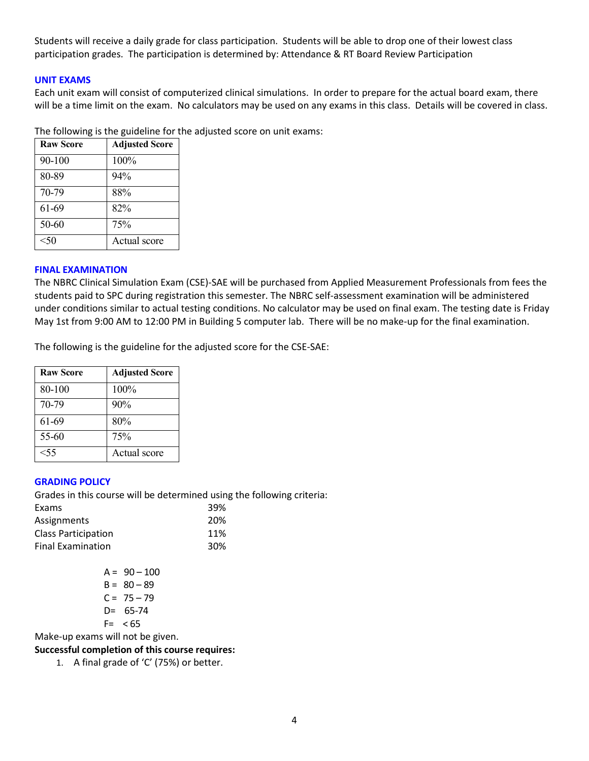Students will receive a daily grade for class participation. Students will be able to drop one of their lowest class participation grades. The participation is determined by: Attendance & RT Board Review Participation

## **UNIT EXAMS**

Each unit exam will consist of computerized clinical simulations. In order to prepare for the actual board exam, there will be a time limit on the exam. No calculators may be used on any exams in this class. Details will be covered in class.

| <b>Raw Score</b> | <b>Adjusted Score</b> |
|------------------|-----------------------|
| 90-100           | 100%                  |
| 80-89            | 94%                   |
| 70-79            | 88%                   |
| 61-69            | 82%                   |
| 50-60            | 75%                   |
| < 50             | Actual score          |

The following is the guideline for the adjusted score on unit exams:

# **FINAL EXAMINATION**

The NBRC Clinical Simulation Exam (CSE)-SAE will be purchased from Applied Measurement Professionals from fees the students paid to SPC during registration this semester. The NBRC self-assessment examination will be administered under conditions similar to actual testing conditions. No calculator may be used on final exam. The testing date is Friday May 1st from 9:00 AM to 12:00 PM in Building 5 computer lab. There will be no make-up for the final examination.

The following is the guideline for the adjusted score for the CSE-SAE:

| <b>Raw Score</b> | <b>Adjusted Score</b> |
|------------------|-----------------------|
| 80-100           | 100%                  |
| 70-79            | 90%                   |
| 61-69            | 80%                   |
| 55-60            | 75%                   |
| $<$ 55           | Actual score          |

#### **GRADING POLICY**

Grades in this course will be determined using the following criteria:

| Exams                      | 39% |
|----------------------------|-----|
| Assignments                | 20% |
| <b>Class Participation</b> | 11% |
| <b>Final Examination</b>   | 30% |

|    | $A = 90 - 100$ |
|----|----------------|
|    | $B = 80 - 89$  |
|    | $C = 75 - 79$  |
| D= | 65-74          |
| F= | < 65           |

Make-up exams will not be given.

# **Successful completion of this course requires:**

1. A final grade of 'C' (75%) or better.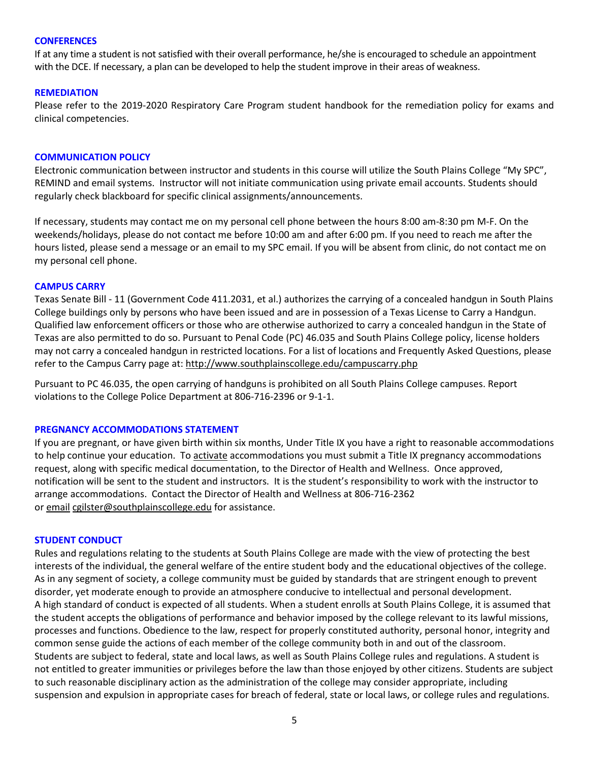#### **CONFERENCES**

If at any time a student is not satisfied with their overall performance, he/she is encouraged to schedule an appointment with the DCE. If necessary, a plan can be developed to help the student improve in their areas of weakness.

### **REMEDIATION**

Please refer to the 2019-2020 Respiratory Care Program student handbook for the remediation policy for exams and clinical competencies.

### **COMMUNICATION POLICY**

Electronic communication between instructor and students in this course will utilize the South Plains College "My SPC", REMIND and email systems. Instructor will not initiate communication using private email accounts. Students should regularly check blackboard for specific clinical assignments/announcements.

If necessary, students may contact me on my personal cell phone between the hours 8:00 am-8:30 pm M-F. On the weekends/holidays, please do not contact me before 10:00 am and after 6:00 pm. If you need to reach me after the hours listed, please send a message or an email to my SPC email. If you will be absent from clinic, do not contact me on my personal cell phone.

## **CAMPUS CARRY**

Texas Senate Bill - 11 (Government Code 411.2031, et al.) authorizes the carrying of a concealed handgun in South Plains College buildings only by persons who have been issued and are in possession of a Texas License to Carry a Handgun. Qualified law enforcement officers or those who are otherwise authorized to carry a concealed handgun in the State of Texas are also permitted to do so. Pursuant to Penal Code (PC) 46.035 and South Plains College policy, license holders may not carry a concealed handgun in restricted locations. For a list of locations and Frequently Asked Questions, please refer to the Campus Carry page at: <http://www.southplainscollege.edu/campuscarry.php>

Pursuant to PC 46.035, the open carrying of handguns is prohibited on all South Plains College campuses. Report violations to the College Police Department at 806-716-2396 or 9-1-1.

#### **PREGNANCY ACCOMMODATIONS STATEMENT**

If you are pregnant, or have given birth within six months, Under Title IX you have a right to reasonable accommodations to help continue your education. To [activate](http://www.southplainscollege.edu/employees/manualshandbooks/facultyhandbook/sec4.php) accommodations you must submit a Title IX pregnancy accommodations request, along with specific medical documentation, to the Director of Health and Wellness. Once approved, notification will be sent to the student and instructors. It is the student's responsibility to work with the instructor to arrange accommodations. Contact the Director of Health and Wellness at 806-716-2362 or [email](http://www.southplainscollege.edu/employees/manualshandbooks/facultyhandbook/sec4.php) [cgilster@southplainscollege.edu](mailto:cgilster@southplainscollege.edu) for assistance.

#### **STUDENT CONDUCT**

Rules and regulations relating to the students at South Plains College are made with the view of protecting the best interests of the individual, the general welfare of the entire student body and the educational objectives of the college. As in any segment of society, a college community must be guided by standards that are stringent enough to prevent disorder, yet moderate enough to provide an atmosphere conducive to intellectual and personal development. A high standard of conduct is expected of all students. When a student enrolls at South Plains College, it is assumed that the student accepts the obligations of performance and behavior imposed by the college relevant to its lawful missions, processes and functions. Obedience to the law, respect for properly constituted authority, personal honor, integrity and common sense guide the actions of each member of the college community both in and out of the classroom. Students are subject to federal, state and local laws, as well as South Plains College rules and regulations. A student is not entitled to greater immunities or privileges before the law than those enjoyed by other citizens. Students are subject to such reasonable disciplinary action as the administration of the college may consider appropriate, including suspension and expulsion in appropriate cases for breach of federal, state or local laws, or college rules and regulations.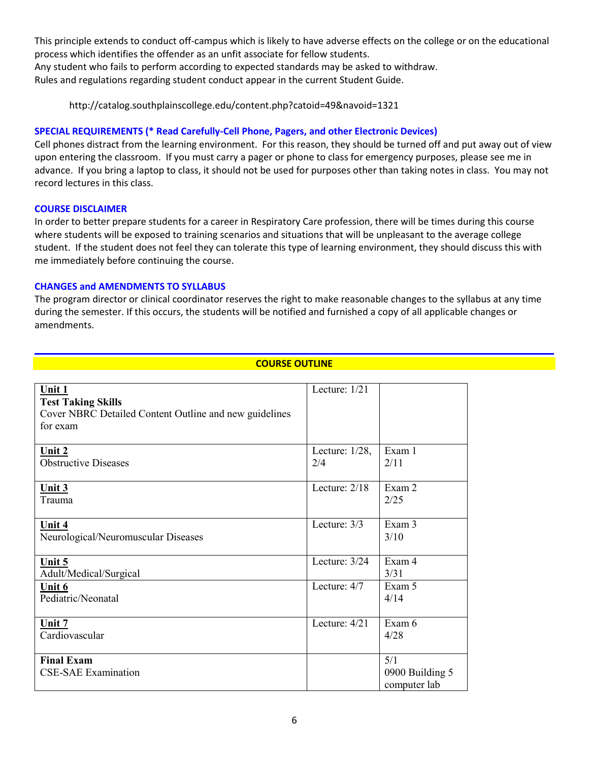This principle extends to conduct off-campus which is likely to have adverse effects on the college or on the educational process which identifies the offender as an unfit associate for fellow students.

Any student who fails to perform according to expected standards may be asked to withdraw. Rules and regulations regarding student conduct appear in the current Student Guide.

http://catalog.southplainscollege.edu/content.php?catoid=49&navoid=1321

# **SPECIAL REQUIREMENTS (\* Read Carefully-Cell Phone, Pagers, and other Electronic Devices)**

Cell phones distract from the learning environment. For this reason, they should be turned off and put away out of view upon entering the classroom. If you must carry a pager or phone to class for emergency purposes, please see me in advance. If you bring a laptop to class, it should not be used for purposes other than taking notes in class. You may not record lectures in this class.

## **COURSE DISCLAIMER**

In order to better prepare students for a career in Respiratory Care profession, there will be times during this course where students will be exposed to training scenarios and situations that will be unpleasant to the average college student. If the student does not feel they can tolerate this type of learning environment, they should discuss this with me immediately before continuing the course.

# **CHANGES and AMENDMENTS TO SYLLABUS**

The program director or clinical coordinator reserves the right to make reasonable changes to the syllabus at any time during the semester. If this occurs, the students will be notified and furnished a copy of all applicable changes or amendments.

## **COURSE OUTLINE**

| Unit 1<br><b>Test Taking Skills</b><br>Cover NBRC Detailed Content Outline and new guidelines<br>for exam | Lecture: $1/21$          |                                        |
|-----------------------------------------------------------------------------------------------------------|--------------------------|----------------------------------------|
| Unit $2$<br><b>Obstructive Diseases</b>                                                                   | Lecture: $1/28$ ,<br>2/4 | Exam 1<br>2/11                         |
| Unit 3<br>Trauma                                                                                          | Lecture: $2/18$          | Exam 2<br>2/25                         |
| Unit $4$<br>Neurological/Neuromuscular Diseases                                                           | Lecture: $3/3$           | Exam 3<br>3/10                         |
| Unit $5$<br>Adult/Medical/Surgical                                                                        | Lecture: 3/24            | Exam 4<br>3/31                         |
| Unit 6<br>Pediatric/Neonatal                                                                              | Lecture: 4/7             | Exam 5<br>4/14                         |
| Unit $7$<br>Cardiovascular                                                                                | Lecture: 4/21            | Exam 6<br>4/28                         |
| <b>Final Exam</b><br><b>CSE-SAE Examination</b>                                                           |                          | 5/1<br>0900 Building 5<br>computer lab |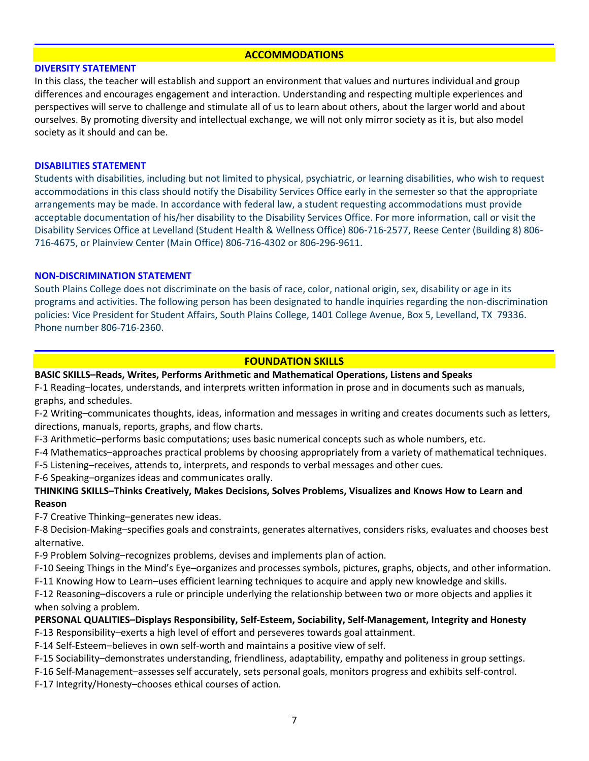### **ACCOMMODATIONS**

#### **DIVERSITY STATEMENT**

In this class, the teacher will establish and support an environment that values and nurtures individual and group differences and encourages engagement and interaction. Understanding and respecting multiple experiences and perspectives will serve to challenge and stimulate all of us to learn about others, about the larger world and about ourselves. By promoting diversity and intellectual exchange, we will not only mirror society as it is, but also model society as it should and can be.

### **DISABILITIES STATEMENT**

Students with disabilities, including but not limited to physical, psychiatric, or learning disabilities, who wish to request accommodations in this class should notify the Disability Services Office early in the semester so that the appropriate arrangements may be made. In accordance with federal law, a student requesting accommodations must provide acceptable documentation of his/her disability to the Disability Services Office. For more information, call or visit the Disability Services Office at Levelland (Student Health & Wellness Office) 806-716-2577, Reese Center (Building 8) 806- 716-4675, or Plainview Center (Main Office) 806-716-4302 or 806-296-9611.

#### **NON-DISCRIMINATION STATEMENT**

South Plains College does not discriminate on the basis of race, color, national origin, sex, disability or age in its programs and activities. The following person has been designated to handle inquiries regarding the non-discrimination policies: Vice President for Student Affairs, South Plains College, 1401 College Avenue, Box 5, Levelland, TX 79336. Phone number 806-716-2360.

# **FOUNDATION SKILLS**

## **BASIC SKILLS–Reads, Writes, Performs Arithmetic and Mathematical Operations, Listens and Speaks**

F-1 Reading–locates, understands, and interprets written information in prose and in documents such as manuals, graphs, and schedules.

F-2 Writing–communicates thoughts, ideas, information and messages in writing and creates documents such as letters, directions, manuals, reports, graphs, and flow charts.

F-3 Arithmetic–performs basic computations; uses basic numerical concepts such as whole numbers, etc.

- F-4 Mathematics–approaches practical problems by choosing appropriately from a variety of mathematical techniques.
- F-5 Listening–receives, attends to, interprets, and responds to verbal messages and other cues.

F-6 Speaking–organizes ideas and communicates orally.

# **THINKING SKILLS–Thinks Creatively, Makes Decisions, Solves Problems, Visualizes and Knows How to Learn and Reason**

F-7 Creative Thinking–generates new ideas.

F-8 Decision-Making–specifies goals and constraints, generates alternatives, considers risks, evaluates and chooses best alternative.

F-9 Problem Solving–recognizes problems, devises and implements plan of action.

F-10 Seeing Things in the Mind's Eye–organizes and processes symbols, pictures, graphs, objects, and other information.

F-11 Knowing How to Learn–uses efficient learning techniques to acquire and apply new knowledge and skills.

F-12 Reasoning–discovers a rule or principle underlying the relationship between two or more objects and applies it when solving a problem.

# **PERSONAL QUALITIES–Displays Responsibility, Self-Esteem, Sociability, Self-Management, Integrity and Honesty**

F-13 Responsibility–exerts a high level of effort and perseveres towards goal attainment.

F-14 Self-Esteem–believes in own self-worth and maintains a positive view of self.

F-15 Sociability–demonstrates understanding, friendliness, adaptability, empathy and politeness in group settings.

F-16 Self-Management–assesses self accurately, sets personal goals, monitors progress and exhibits self-control.

F-17 Integrity/Honesty–chooses ethical courses of action.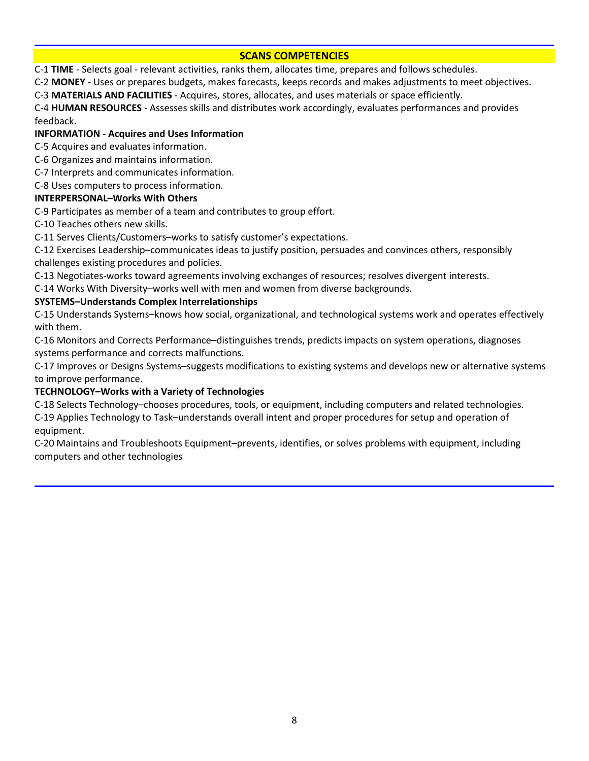# **SCANS COMPETENCIES**

C-1 **TIME** - Selects goal - relevant activities, ranks them, allocates time, prepares and follows schedules.

C-2 **MONEY** - Uses or prepares budgets, makes forecasts, keeps records and makes adjustments to meet objectives.

C-3 **MATERIALS AND FACILITIES** - Acquires, stores, allocates, and uses materials or space efficiently.

C-4 **HUMAN RESOURCES** - Assesses skills and distributes work accordingly, evaluates performances and provides feedback.

# **INFORMATION - Acquires and Uses Information**

C-5 Acquires and evaluates information.

- C-6 Organizes and maintains information.
- C-7 Interprets and communicates information.
- C-8 Uses computers to process information.

# **INTERPERSONAL–Works With Others**

C-9 Participates as member of a team and contributes to group effort.

C-10 Teaches others new skills.

C-11 Serves Clients/Customers–works to satisfy customer's expectations.

C-12 Exercises Leadership–communicates ideas to justify position, persuades and convinces others, responsibly challenges existing procedures and policies.

C-13 Negotiates-works toward agreements involving exchanges of resources; resolves divergent interests.

C-14 Works With Diversity–works well with men and women from diverse backgrounds.

# **SYSTEMS–Understands Complex Interrelationships**

C-15 Understands Systems–knows how social, organizational, and technological systems work and operates effectively with them.

C-16 Monitors and Corrects Performance–distinguishes trends, predicts impacts on system operations, diagnoses systems performance and corrects malfunctions.

C-17 Improves or Designs Systems–suggests modifications to existing systems and develops new or alternative systems to improve performance.

# **TECHNOLOGY–Works with a Variety of Technologies**

C-18 Selects Technology–chooses procedures, tools, or equipment, including computers and related technologies.

C-19 Applies Technology to Task–understands overall intent and proper procedures for setup and operation of equipment.

C-20 Maintains and Troubleshoots Equipment–prevents, identifies, or solves problems with equipment, including computers and other technologies